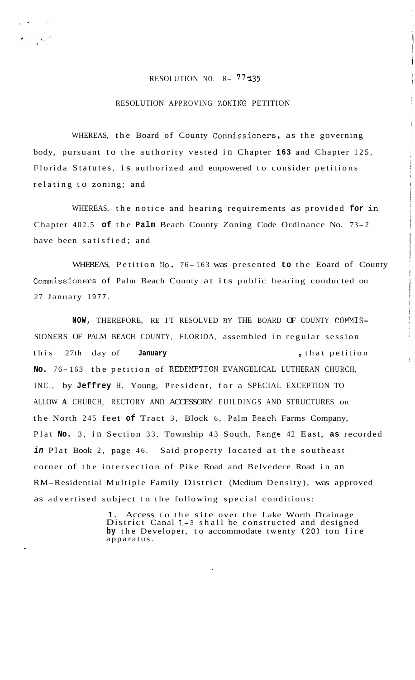## RESOLUTION NO. R- 77135

 $\epsilon_{\rm{max}}$ 

## RESOLUTION APPROVING ZONING PETITION

WHEREAS, the Board of County Commissioners, as the governing body, pursuant to the authority vested in Chapter **163** and Chapter 125, Florida Statutes, is authorized and empowered to consider petitions relating to zoning; and

WHEREAS, the notice and hearing requirements as provided **for** in Chapter 402.5 of the Palm Beach County Zoning Code Ordinance No. 73-2 have been satisfied; and

WHEREAS, Petition No. 76-163 was presented to the Eoard of County Commissioners of Palm Beach County at its public hearing conducted on 27 January 1977.

NOW, THEREFORE, RE IT RESOLVED BY THE BOARD OF COUNTY COMMIS-SIONERS OF PALM BEACH COUNTY, FLORIDA, assembled in regular session this 27th day of **January** , that petition No. 76-163 the petition of REDEMPTION EVANGELICAL LUTHERAN CHURCH, INC., by **Jeffrey** H. Young, President, for a SPECIAL EXCEPTION TO ALLOW **A** CHURCH, RECTORY AND ACCESSORY EUILDINGS AND STRUCTURES on the North 245 feet **of** Tract 3, Block 6, Palm Beach Farms Company, Plat **No.** 3, in Section 33, Township 43 South, Range 42 East, **as** recorded *in* Plat Book 2, page 46. Said property located at the southeast corner of the intersection of Pike Road and Belvedere Road in an RM-Residential Multiple Family District (Medium Density), was approved as advertised subject to the following special conditions:

> 1. Access to the site over the Lake Worth Drainage District Canal L-3 shall be constructed and designed **by** the Developer, to accommodate twenty (20) ton fire apparatus.